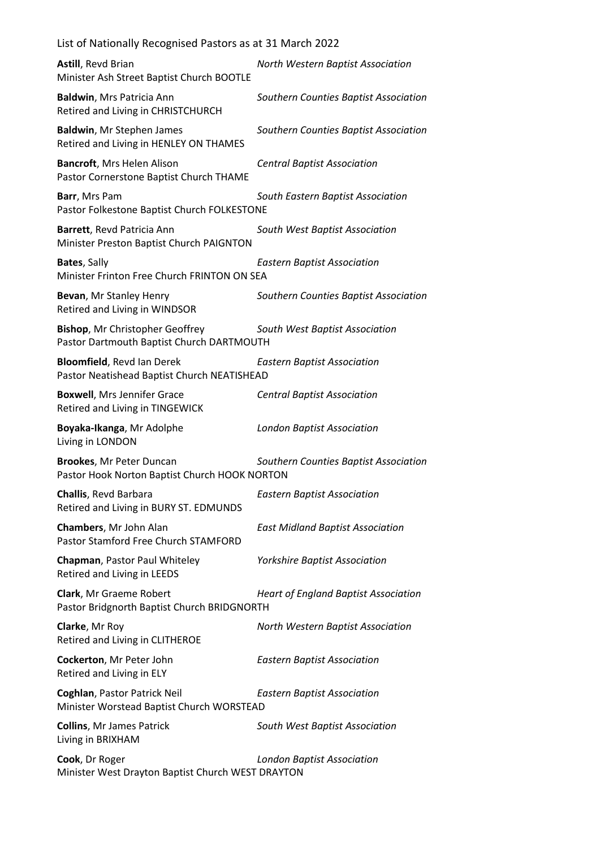| List of Nationally Recognised Pastors as at 31 March 2022                           |                                             |
|-------------------------------------------------------------------------------------|---------------------------------------------|
| Astill, Revd Brian<br>Minister Ash Street Baptist Church BOOTLE                     | North Western Baptist Association           |
| Baldwin, Mrs Patricia Ann<br>Retired and Living in CHRISTCHURCH                     | Southern Counties Baptist Association       |
| Baldwin, Mr Stephen James<br>Retired and Living in HENLEY ON THAMES                 | Southern Counties Baptist Association       |
| Bancroft, Mrs Helen Alison<br>Pastor Cornerstone Baptist Church THAME               | <b>Central Baptist Association</b>          |
| Barr, Mrs Pam<br>Pastor Folkestone Baptist Church FOLKESTONE                        | South Eastern Baptist Association           |
| Barrett, Revd Patricia Ann<br>Minister Preston Baptist Church PAIGNTON              | South West Baptist Association              |
| Bates, Sally<br>Minister Frinton Free Church FRINTON ON SEA                         | <b>Eastern Baptist Association</b>          |
| Bevan, Mr Stanley Henry<br>Retired and Living in WINDSOR                            | Southern Counties Baptist Association       |
| <b>Bishop, Mr Christopher Geoffrey</b><br>Pastor Dartmouth Baptist Church DARTMOUTH | South West Baptist Association              |
| <b>Bloomfield, Revd Ian Derek</b><br>Pastor Neatishead Baptist Church NEATISHEAD    | <b>Eastern Baptist Association</b>          |
| <b>Boxwell, Mrs Jennifer Grace</b><br>Retired and Living in TINGEWICK               | <b>Central Baptist Association</b>          |
| Boyaka-Ikanga, Mr Adolphe<br>Living in LONDON                                       | <b>London Baptist Association</b>           |
| Brookes, Mr Peter Duncan<br>Pastor Hook Norton Baptist Church HOOK NORTON           | Southern Counties Baptist Association       |
| Challis, Revd Barbara<br>Retired and Living in BURY ST. EDMUNDS                     | <b>Eastern Baptist Association</b>          |
| Chambers, Mr John Alan<br>Pastor Stamford Free Church STAMFORD                      | <b>East Midland Baptist Association</b>     |
| Chapman, Pastor Paul Whiteley<br>Retired and Living in LEEDS                        | <b>Yorkshire Baptist Association</b>        |
| Clark, Mr Graeme Robert<br>Pastor Bridgnorth Baptist Church BRIDGNORTH              | <b>Heart of England Baptist Association</b> |
| Clarke, Mr Roy<br>Retired and Living in CLITHEROE                                   | North Western Baptist Association           |
| Cockerton, Mr Peter John<br>Retired and Living in ELY                               | <b>Eastern Baptist Association</b>          |
| Coghlan, Pastor Patrick Neil<br>Minister Worstead Baptist Church WORSTEAD           | <b>Eastern Baptist Association</b>          |
| <b>Collins, Mr James Patrick</b><br>Living in BRIXHAM                               | South West Baptist Association              |
| Cook, Dr Roger<br>Minister West Drayton Baptist Church WEST DRAYTON                 | <b>London Baptist Association</b>           |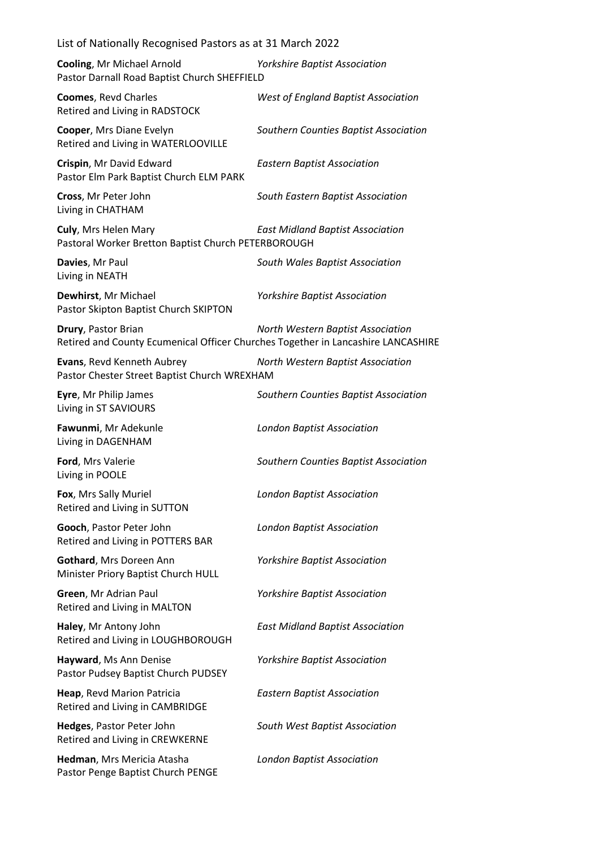| List of Nationally Recognised Pastors as at 31 March 2022                                                       |                                            |  |
|-----------------------------------------------------------------------------------------------------------------|--------------------------------------------|--|
| <b>Cooling, Mr Michael Arnold</b><br>Pastor Darnall Road Baptist Church SHEFFIELD                               | <b>Yorkshire Baptist Association</b>       |  |
| <b>Coomes, Revd Charles</b><br>Retired and Living in RADSTOCK                                                   | <b>West of England Baptist Association</b> |  |
| Cooper, Mrs Diane Evelyn<br>Retired and Living in WATERLOOVILLE                                                 | Southern Counties Baptist Association      |  |
| Crispin, Mr David Edward<br>Pastor Elm Park Baptist Church ELM PARK                                             | <b>Eastern Baptist Association</b>         |  |
| Cross, Mr Peter John<br>Living in CHATHAM                                                                       | South Eastern Baptist Association          |  |
| Culy, Mrs Helen Mary<br>Pastoral Worker Bretton Baptist Church PETERBOROUGH                                     | <b>East Midland Baptist Association</b>    |  |
| Davies, Mr Paul<br>Living in NEATH                                                                              | South Wales Baptist Association            |  |
| Dewhirst, Mr Michael<br>Pastor Skipton Baptist Church SKIPTON                                                   | <b>Yorkshire Baptist Association</b>       |  |
| Drury, Pastor Brian<br>Retired and County Ecumenical Officer Churches Together in Lancashire LANCASHIRE         | North Western Baptist Association          |  |
| Evans, Revd Kenneth Aubrey<br>North Western Baptist Association<br>Pastor Chester Street Baptist Church WREXHAM |                                            |  |
| Eyre, Mr Philip James<br>Living in ST SAVIOURS                                                                  | Southern Counties Baptist Association      |  |
| Fawunmi, Mr Adekunle<br>Living in DAGENHAM                                                                      | <b>London Baptist Association</b>          |  |
| Ford, Mrs Valerie<br>Living in POOLE                                                                            | Southern Counties Baptist Association      |  |
| Fox, Mrs Sally Muriel<br>Retired and Living in SUTTON                                                           | <b>London Baptist Association</b>          |  |
| Gooch, Pastor Peter John<br>Retired and Living in POTTERS BAR                                                   | <b>London Baptist Association</b>          |  |
| Gothard, Mrs Doreen Ann<br>Minister Priory Baptist Church HULL                                                  | <b>Yorkshire Baptist Association</b>       |  |
| Green, Mr Adrian Paul<br>Retired and Living in MALTON                                                           | <b>Yorkshire Baptist Association</b>       |  |
| Haley, Mr Antony John<br>Retired and Living in LOUGHBOROUGH                                                     | <b>East Midland Baptist Association</b>    |  |
| Hayward, Ms Ann Denise<br>Pastor Pudsey Baptist Church PUDSEY                                                   | <b>Yorkshire Baptist Association</b>       |  |
| Heap, Revd Marion Patricia<br>Retired and Living in CAMBRIDGE                                                   | <b>Eastern Baptist Association</b>         |  |
| Hedges, Pastor Peter John<br>Retired and Living in CREWKERNE                                                    | South West Baptist Association             |  |
| Hedman, Mrs Mericia Atasha<br>Pastor Penge Baptist Church PENGE                                                 | <b>London Baptist Association</b>          |  |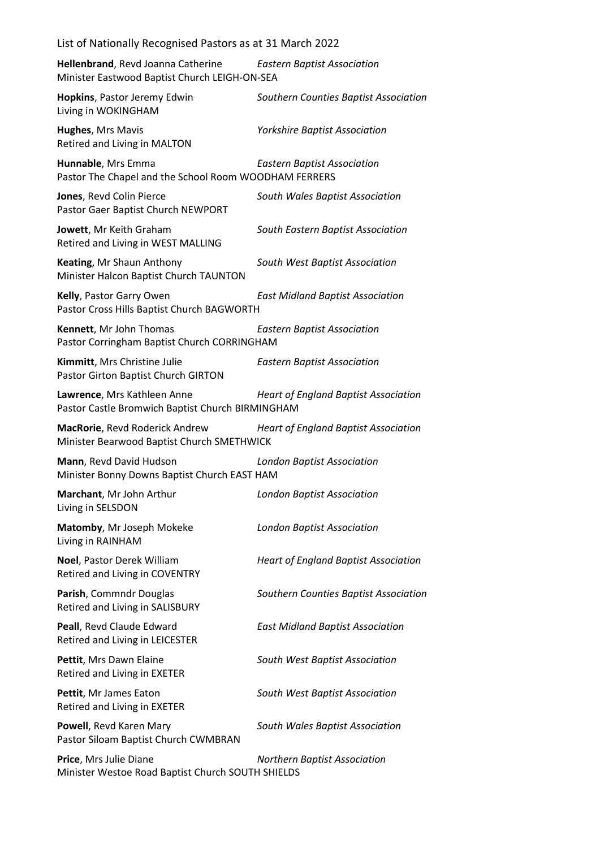| List of Nationally Recognised Pastors as at 31 March 2022                           |                                             |  |
|-------------------------------------------------------------------------------------|---------------------------------------------|--|
| Hellenbrand, Revd Joanna Catherine<br>Minister Eastwood Baptist Church LEIGH-ON-SEA | <b>Eastern Baptist Association</b>          |  |
| Hopkins, Pastor Jeremy Edwin<br>Living in WOKINGHAM                                 | Southern Counties Baptist Association       |  |
| Hughes, Mrs Mavis<br>Retired and Living in MALTON                                   | <b>Yorkshire Baptist Association</b>        |  |
| Hunnable, Mrs Emma<br>Pastor The Chapel and the School Room WOODHAM FERRERS         | <b>Eastern Baptist Association</b>          |  |
| Jones, Revd Colin Pierce<br>Pastor Gaer Baptist Church NEWPORT                      | South Wales Baptist Association             |  |
| Jowett, Mr Keith Graham<br>Retired and Living in WEST MALLING                       | South Eastern Baptist Association           |  |
| Keating, Mr Shaun Anthony<br>Minister Halcon Baptist Church TAUNTON                 | South West Baptist Association              |  |
| Kelly, Pastor Garry Owen<br>Pastor Cross Hills Baptist Church BAGWORTH              | <b>East Midland Baptist Association</b>     |  |
| Kennett, Mr John Thomas<br>Pastor Corringham Baptist Church CORRINGHAM              | <b>Eastern Baptist Association</b>          |  |
| Kimmitt, Mrs Christine Julie<br>Pastor Girton Baptist Church GIRTON                 | <b>Eastern Baptist Association</b>          |  |
| Lawrence, Mrs Kathleen Anne<br>Pastor Castle Bromwich Baptist Church BIRMINGHAM     | <b>Heart of England Baptist Association</b> |  |
| MacRorie, Revd Roderick Andrew<br>Minister Bearwood Baptist Church SMETHWICK        | <b>Heart of England Baptist Association</b> |  |
| Mann, Revd David Hudson<br>Minister Bonny Downs Baptist Church EAST HAM             | <b>London Baptist Association</b>           |  |
| Marchant, Mr John Arthur<br>Living in SELSDON                                       | <b>London Baptist Association</b>           |  |
| Matomby, Mr Joseph Mokeke<br>Living in RAINHAM                                      | <b>London Baptist Association</b>           |  |
| Noel, Pastor Derek William<br>Retired and Living in COVENTRY                        | <b>Heart of England Baptist Association</b> |  |
| Parish, Commndr Douglas<br>Retired and Living in SALISBURY                          | Southern Counties Baptist Association       |  |
| Peall, Revd Claude Edward<br>Retired and Living in LEICESTER                        | <b>East Midland Baptist Association</b>     |  |
| Pettit, Mrs Dawn Elaine<br>Retired and Living in EXETER                             | South West Baptist Association              |  |
| Pettit, Mr James Eaton<br>Retired and Living in EXETER                              | South West Baptist Association              |  |
| Powell, Revd Karen Mary<br>Pastor Siloam Baptist Church CWMBRAN                     | South Wales Baptist Association             |  |
| Price, Mrs Julie Diane<br>Minister Westoe Road Baptist Church SOUTH SHIELDS         | <b>Northern Baptist Association</b>         |  |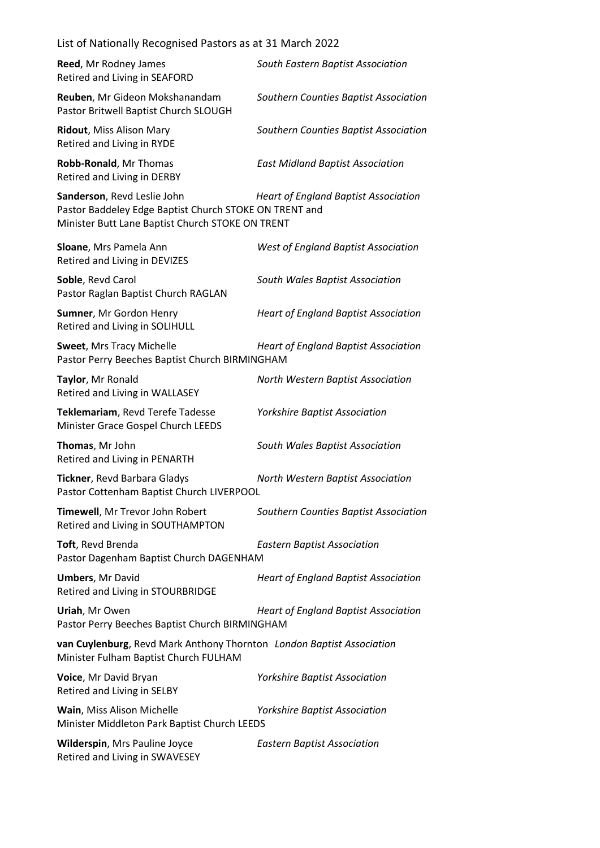| List of Nationally Recognised Pastors as at 31 March 2022                                                                                 |                                             |  |
|-------------------------------------------------------------------------------------------------------------------------------------------|---------------------------------------------|--|
| Reed, Mr Rodney James<br>Retired and Living in SEAFORD                                                                                    | South Eastern Baptist Association           |  |
| Reuben, Mr Gideon Mokshanandam<br>Pastor Britwell Baptist Church SLOUGH                                                                   | Southern Counties Baptist Association       |  |
| Ridout, Miss Alison Mary<br>Retired and Living in RYDE                                                                                    | Southern Counties Baptist Association       |  |
| Robb-Ronald, Mr Thomas<br>Retired and Living in DERBY                                                                                     | <b>East Midland Baptist Association</b>     |  |
| Sanderson, Revd Leslie John<br>Pastor Baddeley Edge Baptist Church STOKE ON TRENT and<br>Minister Butt Lane Baptist Church STOKE ON TRENT | <b>Heart of England Baptist Association</b> |  |
| Sloane, Mrs Pamela Ann<br>Retired and Living in DEVIZES                                                                                   | West of England Baptist Association         |  |
| Soble, Revd Carol<br>Pastor Raglan Baptist Church RAGLAN                                                                                  | South Wales Baptist Association             |  |
| Sumner, Mr Gordon Henry<br>Retired and Living in SOLIHULL                                                                                 | <b>Heart of England Baptist Association</b> |  |
| <b>Sweet, Mrs Tracy Michelle</b><br>Pastor Perry Beeches Baptist Church BIRMINGHAM                                                        | <b>Heart of England Baptist Association</b> |  |
| Taylor, Mr Ronald<br>Retired and Living in WALLASEY                                                                                       | North Western Baptist Association           |  |
| Teklemariam, Revd Terefe Tadesse<br>Minister Grace Gospel Church LEEDS                                                                    | <b>Yorkshire Baptist Association</b>        |  |
| Thomas, Mr John<br>Retired and Living in PENARTH                                                                                          | South Wales Baptist Association             |  |
| Tickner, Revd Barbara Gladys<br>Pastor Cottenham Baptist Church LIVERPOOL                                                                 | North Western Baptist Association           |  |
| Timewell, Mr Trevor John Robert<br>Retired and Living in SOUTHAMPTON                                                                      | Southern Counties Baptist Association       |  |
| Toft, Revd Brenda<br>Pastor Dagenham Baptist Church DAGENHAM                                                                              | <b>Eastern Baptist Association</b>          |  |
| <b>Umbers, Mr David</b><br>Retired and Living in STOURBRIDGE                                                                              | <b>Heart of England Baptist Association</b> |  |
| Uriah, Mr Owen<br>Pastor Perry Beeches Baptist Church BIRMINGHAM                                                                          | <b>Heart of England Baptist Association</b> |  |
| van Cuylenburg, Revd Mark Anthony Thornton London Baptist Association<br>Minister Fulham Baptist Church FULHAM                            |                                             |  |
| Voice, Mr David Bryan<br>Retired and Living in SELBY                                                                                      | <b>Yorkshire Baptist Association</b>        |  |
| Wain, Miss Alison Michelle<br>Minister Middleton Park Baptist Church LEEDS                                                                | <b>Yorkshire Baptist Association</b>        |  |
| Wilderspin, Mrs Pauline Joyce<br>Retired and Living in SWAVESEY                                                                           | <b>Eastern Baptist Association</b>          |  |